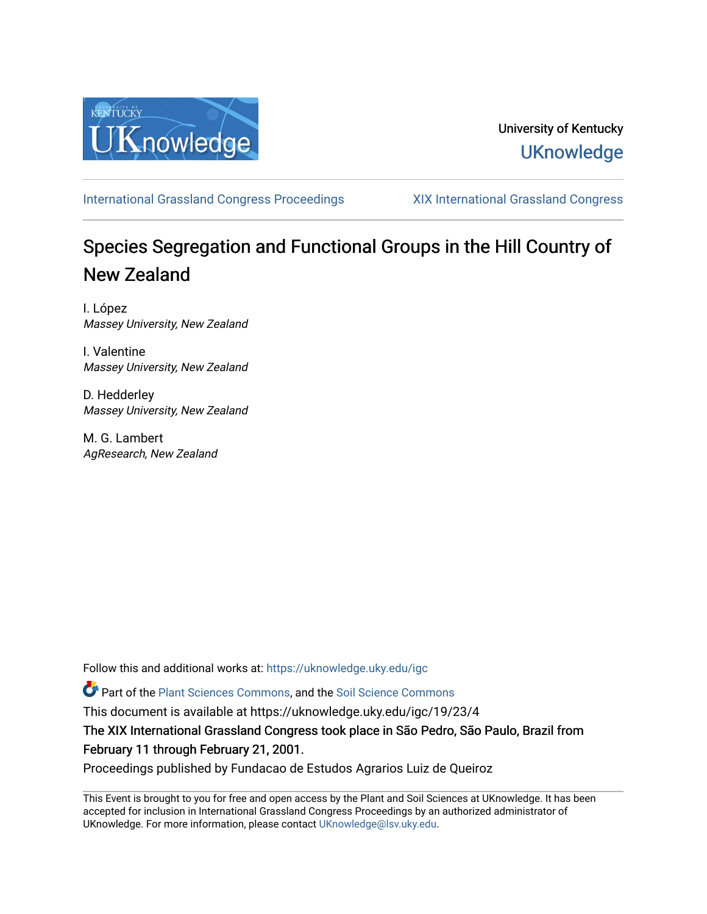

# University of Kentucky **UKnowledge**

[International Grassland Congress Proceedings](https://uknowledge.uky.edu/igc) [XIX International Grassland Congress](https://uknowledge.uky.edu/igc/19) 

# Species Segregation and Functional Groups in the Hill Country of New Zealand

I. López Massey University, New Zealand

I. Valentine Massey University, New Zealand

D. Hedderley Massey University, New Zealand

M. G. Lambert AgResearch, New Zealand

Follow this and additional works at: [https://uknowledge.uky.edu/igc](https://uknowledge.uky.edu/igc?utm_source=uknowledge.uky.edu%2Figc%2F19%2F23%2F4&utm_medium=PDF&utm_campaign=PDFCoverPages) 

Part of the [Plant Sciences Commons](http://network.bepress.com/hgg/discipline/102?utm_source=uknowledge.uky.edu%2Figc%2F19%2F23%2F4&utm_medium=PDF&utm_campaign=PDFCoverPages), and the [Soil Science Commons](http://network.bepress.com/hgg/discipline/163?utm_source=uknowledge.uky.edu%2Figc%2F19%2F23%2F4&utm_medium=PDF&utm_campaign=PDFCoverPages) 

This document is available at https://uknowledge.uky.edu/igc/19/23/4

The XIX International Grassland Congress took place in São Pedro, São Paulo, Brazil from February 11 through February 21, 2001.

Proceedings published by Fundacao de Estudos Agrarios Luiz de Queiroz

This Event is brought to you for free and open access by the Plant and Soil Sciences at UKnowledge. It has been accepted for inclusion in International Grassland Congress Proceedings by an authorized administrator of UKnowledge. For more information, please contact [UKnowledge@lsv.uky.edu](mailto:UKnowledge@lsv.uky.edu).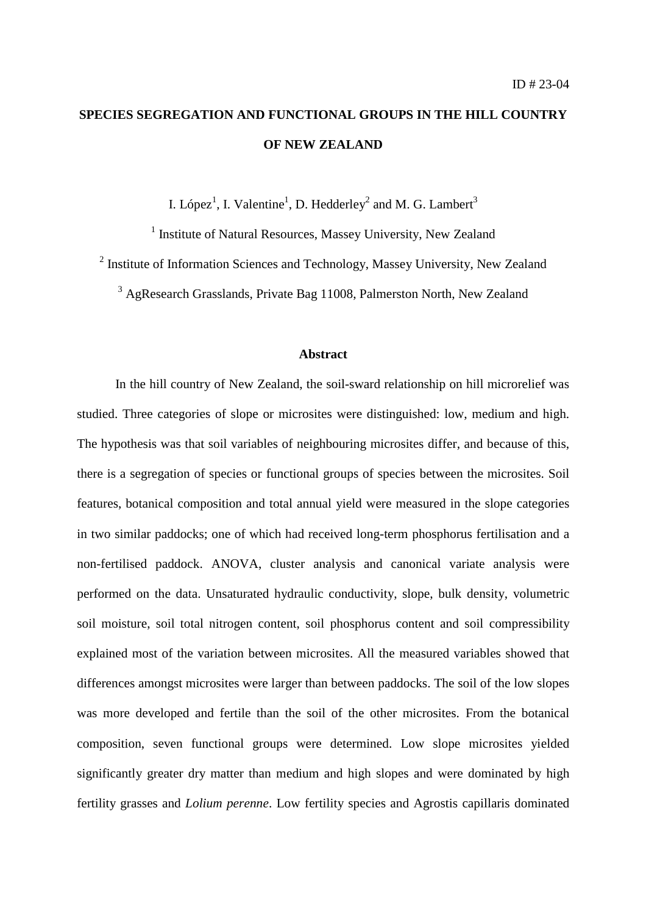# **SPECIES SEGREGATION AND FUNCTIONAL GROUPS IN THE HILL COUNTRY OF NEW ZEALAND**

I. López<sup>1</sup>, I. Valentine<sup>1</sup>, D. Hedderley<sup>2</sup> and M. G. Lambert<sup>3</sup>

<sup>1</sup> Institute of Natural Resources, Massey University, New Zealand

 $2$  Institute of Information Sciences and Technology, Massey University, New Zealand

<sup>3</sup> AgResearch Grasslands, Private Bag 11008, Palmerston North, New Zealand

## **Abstract**

In the hill country of New Zealand, the soil-sward relationship on hill microrelief was studied. Three categories of slope or microsites were distinguished: low, medium and high. The hypothesis was that soil variables of neighbouring microsites differ, and because of this, there is a segregation of species or functional groups of species between the microsites. Soil features, botanical composition and total annual yield were measured in the slope categories in two similar paddocks; one of which had received long-term phosphorus fertilisation and a non-fertilised paddock. ANOVA, cluster analysis and canonical variate analysis were performed on the data. Unsaturated hydraulic conductivity, slope, bulk density, volumetric soil moisture, soil total nitrogen content, soil phosphorus content and soil compressibility explained most of the variation between microsites. All the measured variables showed that differences amongst microsites were larger than between paddocks. The soil of the low slopes was more developed and fertile than the soil of the other microsites. From the botanical composition, seven functional groups were determined. Low slope microsites yielded significantly greater dry matter than medium and high slopes and were dominated by high fertility grasses and *Lolium perenne*. Low fertility species and Agrostis capillaris dominated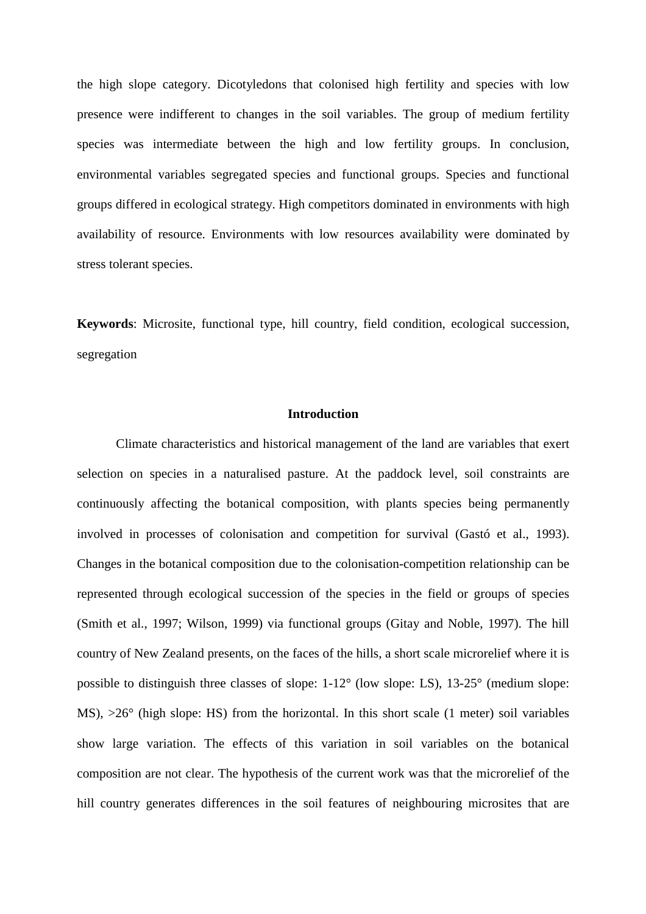the high slope category. Dicotyledons that colonised high fertility and species with low presence were indifferent to changes in the soil variables. The group of medium fertility species was intermediate between the high and low fertility groups. In conclusion, environmental variables segregated species and functional groups. Species and functional groups differed in ecological strategy. High competitors dominated in environments with high availability of resource. Environments with low resources availability were dominated by stress tolerant species.

**Keywords**: Microsite, functional type, hill country, field condition, ecological succession, segregation

#### **Introduction**

Climate characteristics and historical management of the land are variables that exert selection on species in a naturalised pasture. At the paddock level, soil constraints are continuously affecting the botanical composition, with plants species being permanently involved in processes of colonisation and competition for survival (Gastó et al., 1993). Changes in the botanical composition due to the colonisation-competition relationship can be represented through ecological succession of the species in the field or groups of species (Smith et al., 1997; Wilson, 1999) via functional groups (Gitay and Noble, 1997). The hill country of New Zealand presents, on the faces of the hills, a short scale microrelief where it is possible to distinguish three classes of slope: 1-12° (low slope: LS), 13-25° (medium slope: MS),  $>26^{\circ}$  (high slope: HS) from the horizontal. In this short scale (1 meter) soil variables show large variation. The effects of this variation in soil variables on the botanical composition are not clear. The hypothesis of the current work was that the microrelief of the hill country generates differences in the soil features of neighbouring microsites that are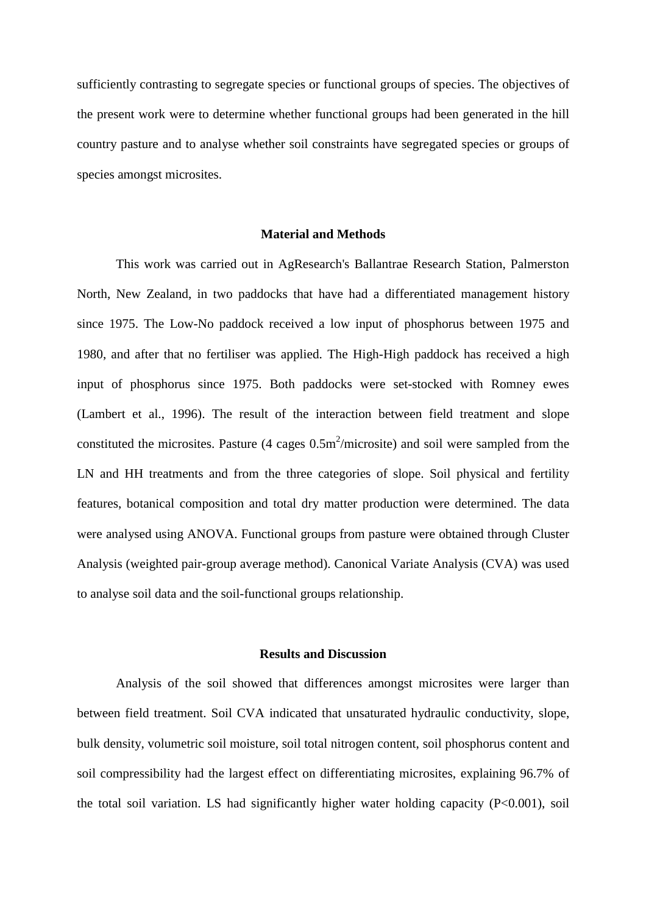sufficiently contrasting to segregate species or functional groups of species. The objectives of the present work were to determine whether functional groups had been generated in the hill country pasture and to analyse whether soil constraints have segregated species or groups of species amongst microsites.

## **Material and Methods**

This work was carried out in AgResearch's Ballantrae Research Station, Palmerston North, New Zealand, in two paddocks that have had a differentiated management history since 1975. The Low-No paddock received a low input of phosphorus between 1975 and 1980, and after that no fertiliser was applied. The High-High paddock has received a high input of phosphorus since 1975. Both paddocks were set-stocked with Romney ewes (Lambert et al., 1996). The result of the interaction between field treatment and slope constituted the microsites. Pasture (4 cages  $0.5 \text{m}^2/\text{microsite}$ ) and soil were sampled from the LN and HH treatments and from the three categories of slope. Soil physical and fertility features, botanical composition and total dry matter production were determined. The data were analysed using ANOVA. Functional groups from pasture were obtained through Cluster Analysis (weighted pair-group average method). Canonical Variate Analysis (CVA) was used to analyse soil data and the soil-functional groups relationship.

### **Results and Discussion**

Analysis of the soil showed that differences amongst microsites were larger than between field treatment. Soil CVA indicated that unsaturated hydraulic conductivity, slope, bulk density, volumetric soil moisture, soil total nitrogen content, soil phosphorus content and soil compressibility had the largest effect on differentiating microsites, explaining 96.7% of the total soil variation. LS had significantly higher water holding capacity (P<0.001), soil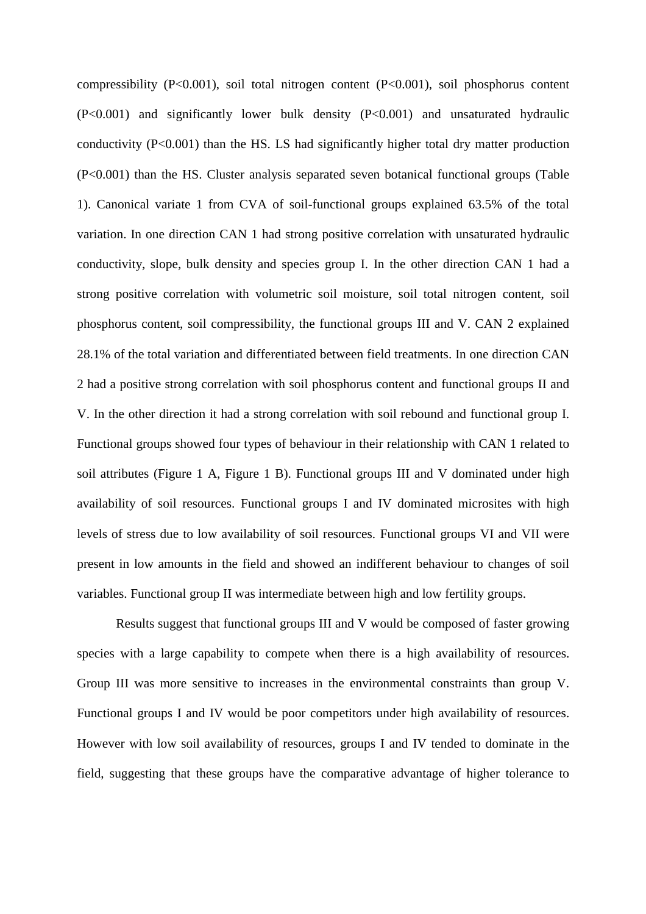compressibility (P<0.001), soil total nitrogen content (P<0.001), soil phosphorus content (P<0.001) and significantly lower bulk density (P<0.001) and unsaturated hydraulic conductivity (P<0.001) than the HS. LS had significantly higher total dry matter production (P<0.001) than the HS. Cluster analysis separated seven botanical functional groups (Table 1). Canonical variate 1 from CVA of soil-functional groups explained 63.5% of the total variation. In one direction CAN 1 had strong positive correlation with unsaturated hydraulic conductivity, slope, bulk density and species group I. In the other direction CAN 1 had a strong positive correlation with volumetric soil moisture, soil total nitrogen content, soil phosphorus content, soil compressibility, the functional groups III and V. CAN 2 explained 28.1% of the total variation and differentiated between field treatments. In one direction CAN 2 had a positive strong correlation with soil phosphorus content and functional groups II and V. In the other direction it had a strong correlation with soil rebound and functional group I. Functional groups showed four types of behaviour in their relationship with CAN 1 related to soil attributes (Figure 1 A, Figure 1 B). Functional groups III and V dominated under high availability of soil resources. Functional groups I and IV dominated microsites with high levels of stress due to low availability of soil resources. Functional groups VI and VII were present in low amounts in the field and showed an indifferent behaviour to changes of soil variables. Functional group II was intermediate between high and low fertility groups.

Results suggest that functional groups III and V would be composed of faster growing species with a large capability to compete when there is a high availability of resources. Group III was more sensitive to increases in the environmental constraints than group V. Functional groups I and IV would be poor competitors under high availability of resources. However with low soil availability of resources, groups I and IV tended to dominate in the field, suggesting that these groups have the comparative advantage of higher tolerance to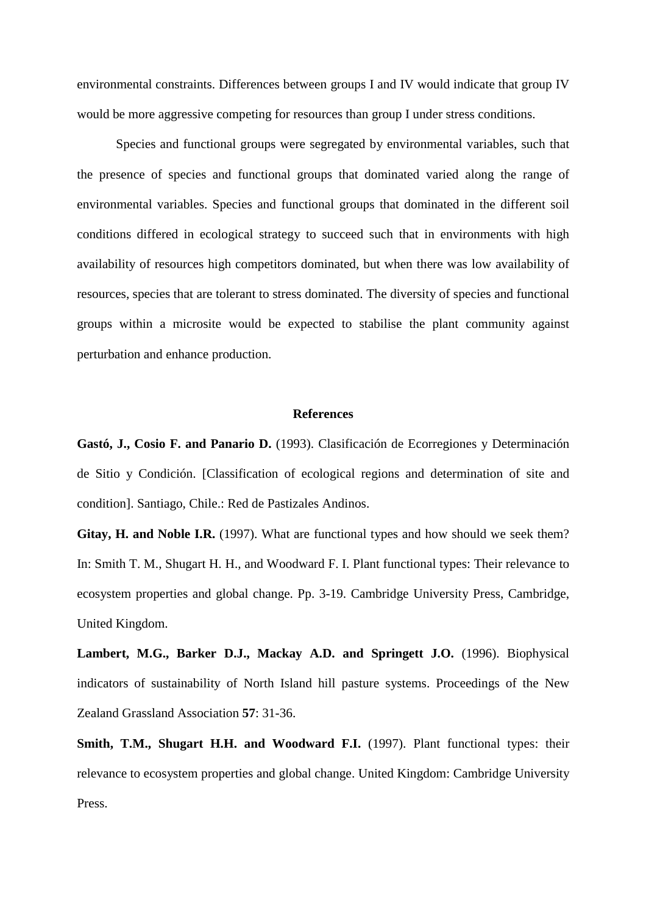environmental constraints. Differences between groups I and IV would indicate that group IV would be more aggressive competing for resources than group I under stress conditions.

Species and functional groups were segregated by environmental variables, such that the presence of species and functional groups that dominated varied along the range of environmental variables. Species and functional groups that dominated in the different soil conditions differed in ecological strategy to succeed such that in environments with high availability of resources high competitors dominated, but when there was low availability of resources, species that are tolerant to stress dominated. The diversity of species and functional groups within a microsite would be expected to stabilise the plant community against perturbation and enhance production.

#### **References**

**Gastó, J., Cosio F. and Panario D.** (1993). Clasificación de Ecorregiones y Determinación de Sitio y Condición. [Classification of ecological regions and determination of site and condition]. Santiago, Chile.: Red de Pastizales Andinos.

Gitay, H. and Noble I.R. (1997). What are functional types and how should we seek them? In: Smith T. M., Shugart H. H., and Woodward F. I. Plant functional types: Their relevance to ecosystem properties and global change. Pp. 3-19. Cambridge University Press, Cambridge, United Kingdom.

**Lambert, M.G., Barker D.J., Mackay A.D. and Springett J.O.** (1996). Biophysical indicators of sustainability of North Island hill pasture systems. Proceedings of the New Zealand Grassland Association **57**: 31-36.

**Smith, T.M., Shugart H.H. and Woodward F.I.** (1997). Plant functional types: their relevance to ecosystem properties and global change. United Kingdom: Cambridge University Press.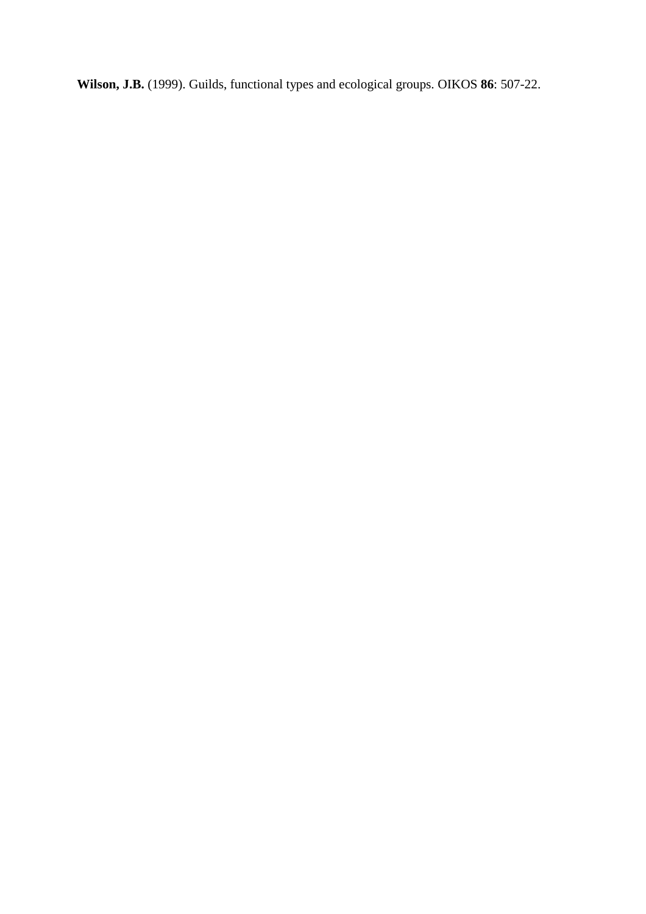**Wilson, J.B.** (1999). Guilds, functional types and ecological groups. OIKOS **86**: 507-22.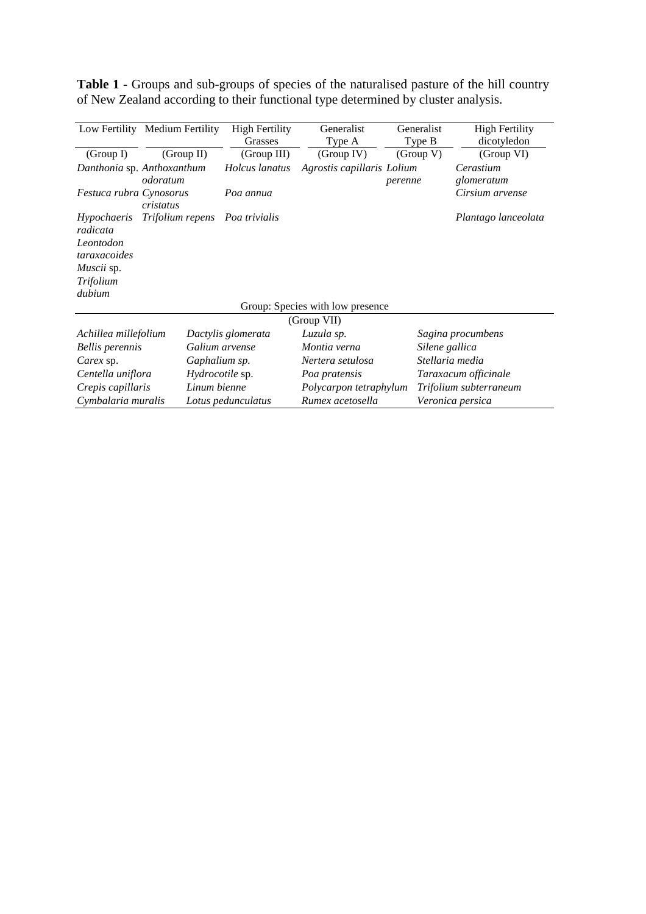**Table 1 -** Groups and sub-groups of species of the naturalised pasture of the hill country of New Zealand according to their functional type determined by cluster analysis.

|                                      | Low Fertility Medium Fertility | <b>High Fertility</b>          | Generalist                 | Generalist | <b>High Fertility</b>  |  |
|--------------------------------------|--------------------------------|--------------------------------|----------------------------|------------|------------------------|--|
|                                      |                                | Grasses                        | Type A                     | Type B     | dicotyledon            |  |
| (Group I)                            | (Group II)                     | (Group III)                    | (Group IV)                 | (Group V)  | (Group VI)             |  |
|                                      | Danthonia sp. Anthoxanthum     | Holcus lanatus                 | Agrostis capillaris Lolium |            | Cerastium              |  |
| odoratum                             |                                |                                |                            | perenne    | glomeratum             |  |
| Festuca rubra Cynosorus<br>cristatus |                                | Poa annua                      |                            |            | Cirsium arvense        |  |
| <i>Hypochaeris</i>                   |                                | Trifolium repens Poa trivialis |                            |            | Plantago lanceolata    |  |
| radicata                             |                                |                                |                            |            |                        |  |
| Leontodon                            |                                |                                |                            |            |                        |  |
| taraxacoides                         |                                |                                |                            |            |                        |  |
| <i>Muscii</i> sp.                    |                                |                                |                            |            |                        |  |
| Trifolium                            |                                |                                |                            |            |                        |  |
| dubium                               |                                |                                |                            |            |                        |  |
| Group: Species with low presence     |                                |                                |                            |            |                        |  |
| (Group VII)                          |                                |                                |                            |            |                        |  |
| Achillea millefolium                 |                                | Dactylis glomerata             | Luzula sp.                 |            | Sagina procumbens      |  |
| <b>Bellis perennis</b>               |                                | Galium arvense                 | Montia verna               |            | Silene gallica         |  |
| Carex sp.                            |                                | Gaphalium sp.                  | Nertera setulosa           |            | Stellaria media        |  |
| Centella uniflora                    |                                | Hydrocotile sp.                | Poa pratensis              |            | Taraxacum officinale   |  |
| Crepis capillaris                    |                                | Linum bienne                   | Polycarpon tetraphylum     |            | Trifolium subterraneum |  |
| Cymbalaria muralis                   |                                | Lotus pedunculatus             | Rumex acetosella           |            | Veronica persica       |  |